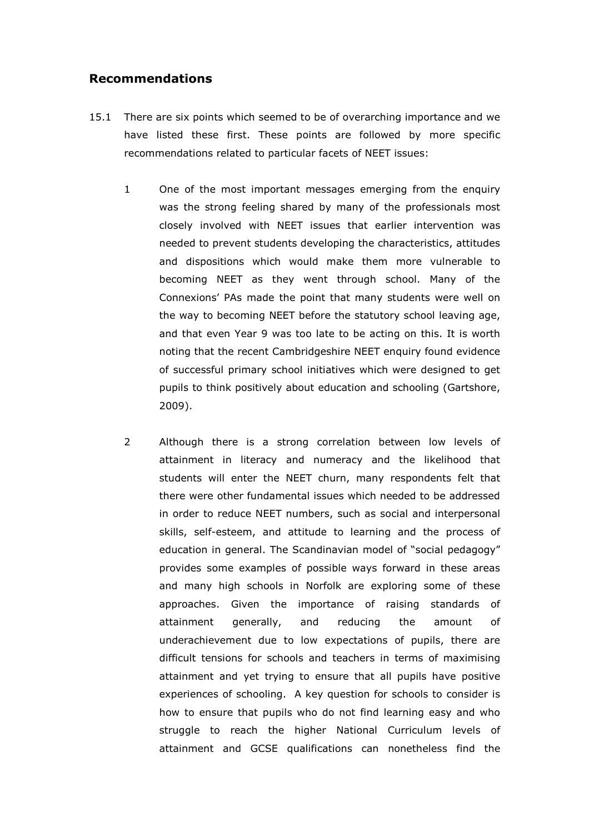## Recommendations

- 15.1 There are six points which seemed to be of overarching importance and we have listed these first. These points are followed by more specific recommendations related to particular facets of NEET issues:
	- 1 One of the most important messages emerging from the enquiry was the strong feeling shared by many of the professionals most closely involved with NEET issues that earlier intervention was needed to prevent students developing the characteristics, attitudes and dispositions which would make them more vulnerable to becoming NEET as they went through school. Many of the Connexions' PAs made the point that many students were well on the way to becoming NEET before the statutory school leaving age, and that even Year 9 was too late to be acting on this. It is worth noting that the recent Cambridgeshire NEET enquiry found evidence of successful primary school initiatives which were designed to get pupils to think positively about education and schooling (Gartshore, 2009).
	- 2 Although there is a strong correlation between low levels of attainment in literacy and numeracy and the likelihood that students will enter the NEET churn, many respondents felt that there were other fundamental issues which needed to be addressed in order to reduce NEET numbers, such as social and interpersonal skills, self-esteem, and attitude to learning and the process of education in general. The Scandinavian model of "social pedagogy" provides some examples of possible ways forward in these areas and many high schools in Norfolk are exploring some of these approaches. Given the importance of raising standards of attainment generally, and reducing the amount of underachievement due to low expectations of pupils, there are difficult tensions for schools and teachers in terms of maximising attainment and yet trying to ensure that all pupils have positive experiences of schooling. A key question for schools to consider is how to ensure that pupils who do not find learning easy and who struggle to reach the higher National Curriculum levels of attainment and GCSE qualifications can nonetheless find the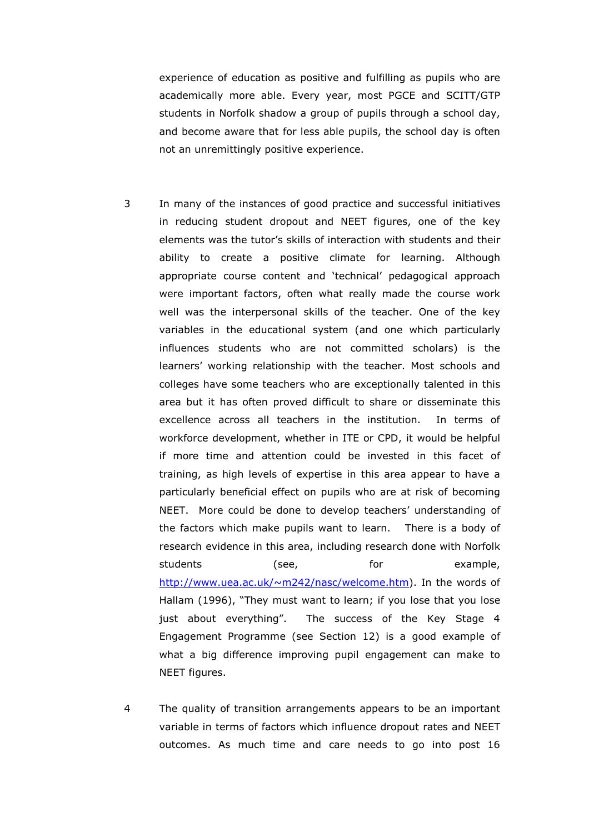experience of education as positive and fulfilling as pupils who are academically more able. Every year, most PGCE and SCITT/GTP students in Norfolk shadow a group of pupils through a school day, and become aware that for less able pupils, the school day is often not an unremittingly positive experience.

- 3 In many of the instances of good practice and successful initiatives in reducing student dropout and NEET figures, one of the key elements was the tutor's skills of interaction with students and their ability to create a positive climate for learning. Although appropriate course content and 'technical' pedagogical approach were important factors, often what really made the course work well was the interpersonal skills of the teacher. One of the key variables in the educational system (and one which particularly influences students who are not committed scholars) is the learners' working relationship with the teacher. Most schools and colleges have some teachers who are exceptionally talented in this area but it has often proved difficult to share or disseminate this excellence across all teachers in the institution. In terms of workforce development, whether in ITE or CPD, it would be helpful if more time and attention could be invested in this facet of training, as high levels of expertise in this area appear to have a particularly beneficial effect on pupils who are at risk of becoming NEET. More could be done to develop teachers' understanding of the factors which make pupils want to learn. There is a body of research evidence in this area, including research done with Norfolk students (see, for example, http://www.uea.ac.uk/~m242/nasc/welcome.htm). In the words of Hallam (1996), "They must want to learn; if you lose that you lose just about everything". The success of the Key Stage 4 Engagement Programme (see Section 12) is a good example of what a big difference improving pupil engagement can make to NEET figures.
- 4 The quality of transition arrangements appears to be an important variable in terms of factors which influence dropout rates and NEET outcomes. As much time and care needs to go into post 16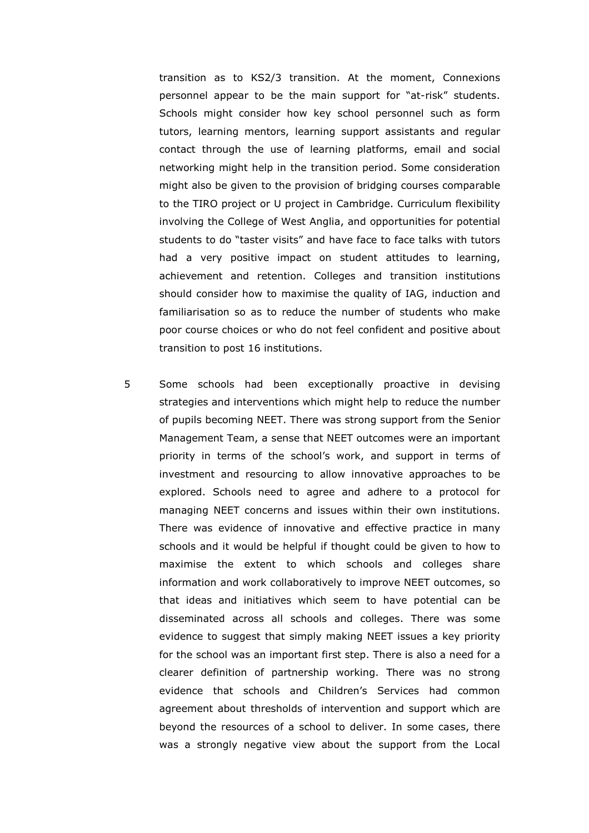transition as to KS2/3 transition. At the moment, Connexions personnel appear to be the main support for "at-risk" students. Schools might consider how key school personnel such as form tutors, learning mentors, learning support assistants and regular contact through the use of learning platforms, email and social networking might help in the transition period. Some consideration might also be given to the provision of bridging courses comparable to the TIRO project or U project in Cambridge. Curriculum flexibility involving the College of West Anglia, and opportunities for potential students to do "taster visits" and have face to face talks with tutors had a very positive impact on student attitudes to learning, achievement and retention. Colleges and transition institutions should consider how to maximise the quality of IAG, induction and familiarisation so as to reduce the number of students who make poor course choices or who do not feel confident and positive about transition to post 16 institutions.

5 Some schools had been exceptionally proactive in devising strategies and interventions which might help to reduce the number of pupils becoming NEET. There was strong support from the Senior Management Team, a sense that NEET outcomes were an important priority in terms of the school's work, and support in terms of investment and resourcing to allow innovative approaches to be explored. Schools need to agree and adhere to a protocol for managing NEET concerns and issues within their own institutions. There was evidence of innovative and effective practice in many schools and it would be helpful if thought could be given to how to maximise the extent to which schools and colleges share information and work collaboratively to improve NEET outcomes, so that ideas and initiatives which seem to have potential can be disseminated across all schools and colleges. There was some evidence to suggest that simply making NEET issues a key priority for the school was an important first step. There is also a need for a clearer definition of partnership working. There was no strong evidence that schools and Children's Services had common agreement about thresholds of intervention and support which are beyond the resources of a school to deliver. In some cases, there was a strongly negative view about the support from the Local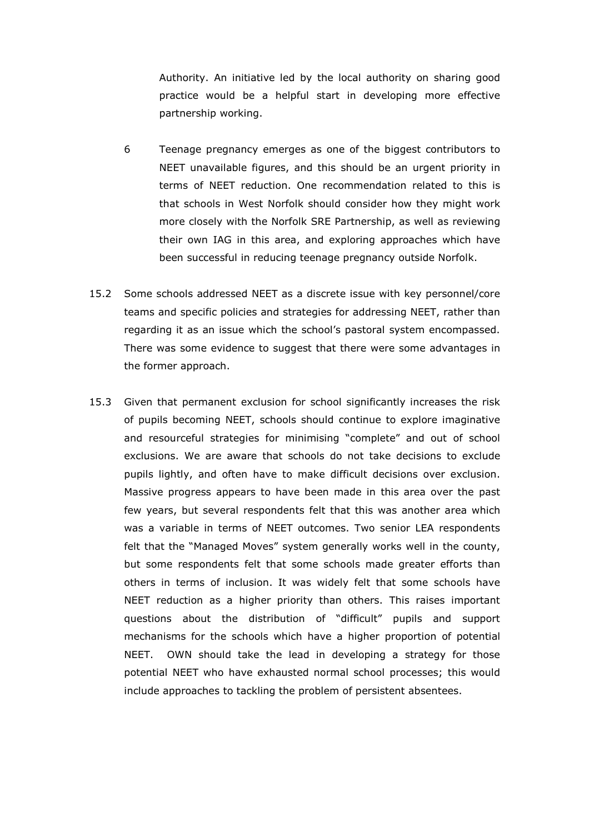Authority. An initiative led by the local authority on sharing good practice would be a helpful start in developing more effective partnership working.

- 6 Teenage pregnancy emerges as one of the biggest contributors to NEET unavailable figures, and this should be an urgent priority in terms of NEET reduction. One recommendation related to this is that schools in West Norfolk should consider how they might work more closely with the Norfolk SRE Partnership, as well as reviewing their own IAG in this area, and exploring approaches which have been successful in reducing teenage pregnancy outside Norfolk.
- 15.2 Some schools addressed NEET as a discrete issue with key personnel/core teams and specific policies and strategies for addressing NEET, rather than regarding it as an issue which the school's pastoral system encompassed. There was some evidence to suggest that there were some advantages in the former approach.
- 15.3 Given that permanent exclusion for school significantly increases the risk of pupils becoming NEET, schools should continue to explore imaginative and resourceful strategies for minimising "complete" and out of school exclusions. We are aware that schools do not take decisions to exclude pupils lightly, and often have to make difficult decisions over exclusion. Massive progress appears to have been made in this area over the past few years, but several respondents felt that this was another area which was a variable in terms of NEET outcomes. Two senior LEA respondents felt that the "Managed Moves" system generally works well in the county, but some respondents felt that some schools made greater efforts than others in terms of inclusion. It was widely felt that some schools have NEET reduction as a higher priority than others. This raises important questions about the distribution of "difficult" pupils and support mechanisms for the schools which have a higher proportion of potential NEET. OWN should take the lead in developing a strategy for those potential NEET who have exhausted normal school processes; this would include approaches to tackling the problem of persistent absentees.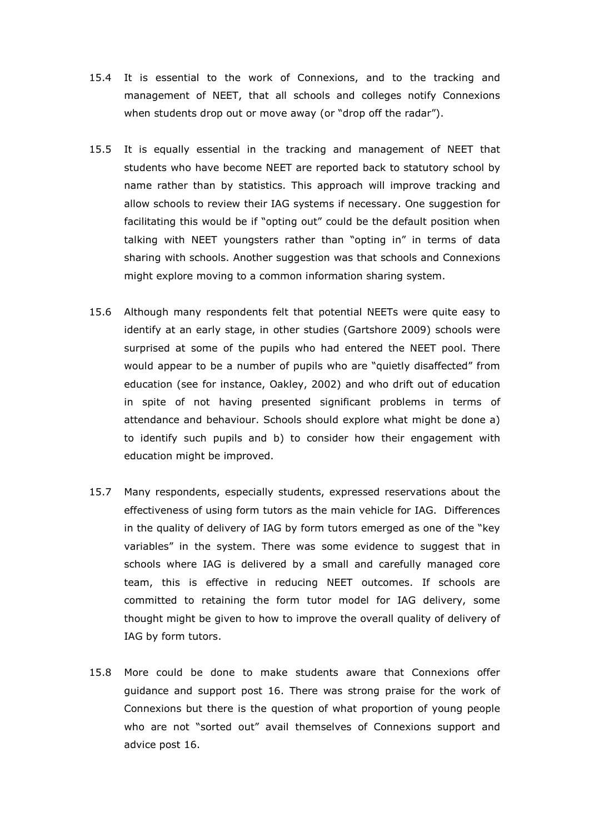- 15.4 It is essential to the work of Connexions, and to the tracking and management of NEET, that all schools and colleges notify Connexions when students drop out or move away (or "drop off the radar").
- 15.5 It is equally essential in the tracking and management of NEET that students who have become NEET are reported back to statutory school by name rather than by statistics. This approach will improve tracking and allow schools to review their IAG systems if necessary. One suggestion for facilitating this would be if "opting out" could be the default position when talking with NEET youngsters rather than "opting in" in terms of data sharing with schools. Another suggestion was that schools and Connexions might explore moving to a common information sharing system.
- 15.6 Although many respondents felt that potential NEETs were quite easy to identify at an early stage, in other studies (Gartshore 2009) schools were surprised at some of the pupils who had entered the NEET pool. There would appear to be a number of pupils who are "quietly disaffected" from education (see for instance, Oakley, 2002) and who drift out of education in spite of not having presented significant problems in terms of attendance and behaviour. Schools should explore what might be done a) to identify such pupils and b) to consider how their engagement with education might be improved.
- 15.7 Many respondents, especially students, expressed reservations about the effectiveness of using form tutors as the main vehicle for IAG. Differences in the quality of delivery of IAG by form tutors emerged as one of the "key variables" in the system. There was some evidence to suggest that in schools where IAG is delivered by a small and carefully managed core team, this is effective in reducing NEET outcomes. If schools are committed to retaining the form tutor model for IAG delivery, some thought might be given to how to improve the overall quality of delivery of IAG by form tutors.
- 15.8 More could be done to make students aware that Connexions offer guidance and support post 16. There was strong praise for the work of Connexions but there is the question of what proportion of young people who are not "sorted out" avail themselves of Connexions support and advice post 16.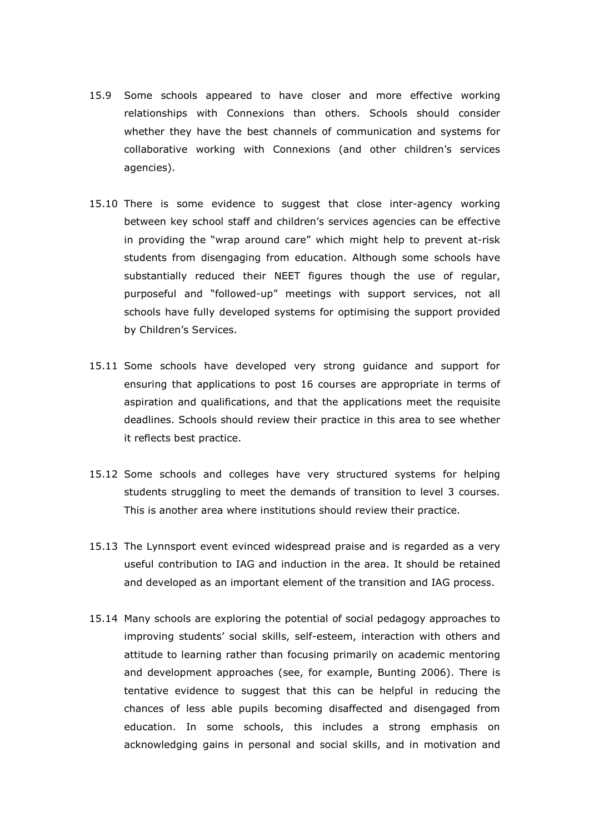- 15.9 Some schools appeared to have closer and more effective working relationships with Connexions than others. Schools should consider whether they have the best channels of communication and systems for collaborative working with Connexions (and other children's services agencies).
- 15.10 There is some evidence to suggest that close inter-agency working between key school staff and children's services agencies can be effective in providing the "wrap around care" which might help to prevent at-risk students from disengaging from education. Although some schools have substantially reduced their NEET figures though the use of regular, purposeful and "followed-up" meetings with support services, not all schools have fully developed systems for optimising the support provided by Children's Services.
- 15.11 Some schools have developed very strong guidance and support for ensuring that applications to post 16 courses are appropriate in terms of aspiration and qualifications, and that the applications meet the requisite deadlines. Schools should review their practice in this area to see whether it reflects best practice.
- 15.12 Some schools and colleges have very structured systems for helping students struggling to meet the demands of transition to level 3 courses. This is another area where institutions should review their practice.
- 15.13 The Lynnsport event evinced widespread praise and is regarded as a very useful contribution to IAG and induction in the area. It should be retained and developed as an important element of the transition and IAG process.
- 15.14 Many schools are exploring the potential of social pedagogy approaches to improving students' social skills, self-esteem, interaction with others and attitude to learning rather than focusing primarily on academic mentoring and development approaches (see, for example, Bunting 2006). There is tentative evidence to suggest that this can be helpful in reducing the chances of less able pupils becoming disaffected and disengaged from education. In some schools, this includes a strong emphasis on acknowledging gains in personal and social skills, and in motivation and